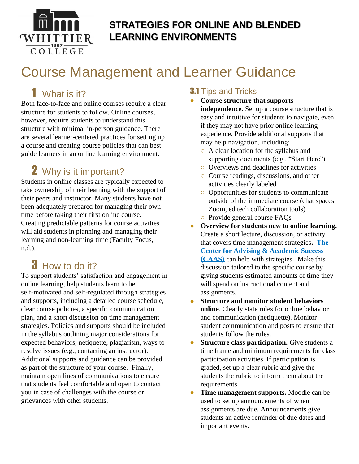

### **STRATEGIES FOR ONLINE AND BLENDED LEARNING ENVIRONMENTS**

# Course Management and Learner Guidance

# 1 What is it?

Both face-to-face and online courses require a clear structure for students to follow. Online courses, however, require students to understand this structure with minimal in-person guidance. There are several learner-centered practices for setting up a course and creating course policies that can best guide learners in an online learning environment.

# 2 Why is it important?

Students in online classes are typically expected to take ownership of their learning with the support of their peers and instructor. Many students have not been adequately prepared for managing their own time before taking their first online course. Creating predictable patterns for course activities will aid students in planning and managing their learning and non-learning time (Faculty Focus, n.d.).

## **3** How to do it?

To support students' satisfaction and engagement in online learning, help students learn to be self-motivated and self-regulated through strategies and supports, including a detailed course schedule, clear course policies, a specific communication plan, and a short discussion on time management strategies. Policies and supports should be included in the syllabus outlining major considerations for expected behaviors, netiquette, plagiarism, ways to resolve issues (e.g., contacting an instructor). Additional supports and guidance can be provided as part of the structure of your course. Finally, maintain open lines of communications to ensure that students feel comfortable and open to contact you in case of challenges with the course or grievances with other students.

#### **3.1 Tips and Tricks**

- **Course structure that supports independence.** Set up a course structure that is easy and intuitive for students to navigate, even if they may not have prior online learning experience. Provide additional supports that may help navigation, including:
	- A clear location for the syllabus and supporting documents (e.g., "Start Here")
	- Overviews and deadlines for activities
- Course readings, discussions, and other activities clearly labeled
- Opportunities for students to communicate outside of the immediate course (chat spaces, Zoom, ed tech collaboration tools)
- Provide general course FAQs
- **Overview for students new to online learning.**  Create a short lecture, discussion, or activity that covers time management strategies**. [The](https://www.whittier.edu/caas)  [Center for Advising & Academic Success](https://www.whittier.edu/caas)  [\(CAAS\)](https://www.whittier.edu/caas)** can help with strategies. Make this discussion tailored to the specific course by giving students estimated amounts of time they will spend on instructional content and assignments.
- **Structure and monitor student behaviors online**. Clearly state rules for online behavior and communication (netiquette). Monitor student communication and posts to ensure that students follow the rules.
- **Structure class participation.** Give students a time frame and minimum requirements for class participation activities. If participation is graded, set up a clear rubric and give the students the rubric to inform them about the requirements.
- **Time management supports.** Moodle can be used to set up announcements of when assignments are due. Announcements give students an active reminder of due dates and important events.